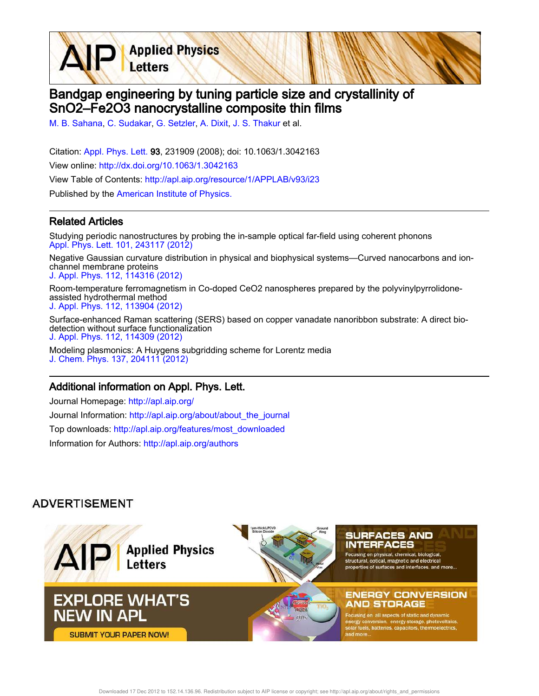Bandgap engineering by tuning particle size and crystallinity of SnO2–Fe2O3 nanocrystalline composite thin films

M. B. Sahana, C. Sudakar, G. Setzler, A. Dixit, J. S. Thakur et al.

**Applied Physics** 

Letters

Citation: Appl. Phys. Lett. 93, 231909 (2008); doi: 10.1063/1.3042163 View online: http://dx.doi.org/10.1063/1.3042163 View Table of Contents: http://apl.aip.org/resource/1/APPLAB/v93/i23 Published by the American Institute of Physics.

## Related Articles

Studying periodic nanostructures by probing the in-sample optical far-field using coherent phonons Appl. Phys. Lett. 101, 243117 (2012)

Negative Gaussian curvature distribution in physical and biophysical systems—Curved nanocarbons and ionchannel membrane proteins J. Appl. Phys. 112, 114316 (2012)

Room-temperature ferromagnetism in Co-doped CeO2 nanospheres prepared by the polyvinylpyrrolidoneassisted hydrothermal method J. Appl. Phys. 112, 113904 (2012)

Surface-enhanced Raman scattering (SERS) based on copper vanadate nanoribbon substrate: A direct biodetection without surface functionalization J. Appl. Phys. 112, 114309 (2012)

Modeling plasmonics: A Huygens subgridding scheme for Lorentz media J. Chem. Phys. 137, 204111 (2012)

## Additional information on Appl. Phys. Lett.

Journal Homepage: http://apl.aip.org/ Journal Information: http://apl.aip.org/about/about\_the\_journal Top downloads: http://apl.aip.org/features/most\_downloaded Information for Authors: http://apl.aip.org/authors

## **ADVERTISEMENT**

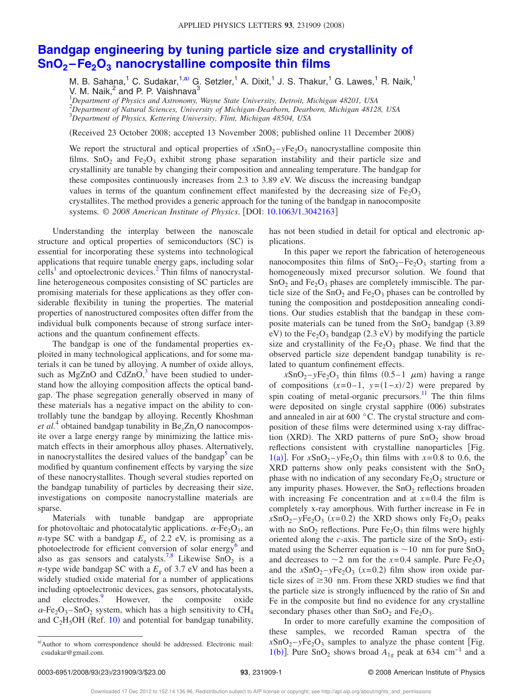## **Bandgap engineering by tuning particle size and crystallinity of SnO<sup>2</sup> –Fe2O<sup>3</sup> nanocrystalline composite thin films**

M. B. Sahana,<sup>1</sup> C. Sudakar,<sup>1,a)</sup> G. Setzler,<sup>1</sup> A. Dixit,<sup>1</sup> J. S. Thakur,<sup>1</sup> G. Lawes,<sup>1</sup> R. Naik,<sup>1</sup> V. M. Naik, $^2$  and P. P. Vaishnava $^3$ 

<sup>1</sup>*Department of Physics and Astronomy, Wayne State University, Detroit, Michigan 48201, USA* <sup>2</sup>*Department of Natural Sciences, University of Michigan-Dearborn, Dearborn, Michigan 48128, USA* <sup>3</sup>*Department of Physics, Kettering University, Flint, Michigan 48504, USA*

Received 23 October 2008; accepted 13 November 2008; published online 11 December 2008-

We report the structural and optical properties of  $xSnO<sub>2</sub> - yFe<sub>2</sub>O<sub>3</sub>$  nanocrystalline composite thin films.  $SnO<sub>2</sub>$  and  $Fe<sub>2</sub>O<sub>3</sub>$  exhibit strong phase separation instability and their particle size and crystallinity are tunable by changing their composition and annealing temperature. The bandgap for these composites continuously increases from 2.3 to 3.89 eV. We discuss the increasing bandgap values in terms of the quantum confinement effect manifested by the decreasing size of  $Fe<sub>2</sub>O<sub>3</sub>$ crystallites. The method provides a generic approach for the tuning of the bandgap in nanocomposite systems. © 2008 American Institute of Physics. [DOI: 10.1063/1.3042163]

Understanding the interplay between the nanoscale structure and optical properties of semiconductors (SC) is essential for incorporating these systems into technological applications that require tunable energy gaps, including solar  $\text{cells}^1$  and optoelectronic devices.<sup>2</sup> Thin films of nanocrystalline heterogeneous composites consisting of SC particles are promising materials for these applications as they offer considerable flexibility in tuning the properties. The material properties of nanostructured composites often differ from the individual bulk components because of strong surface interactions and the quantum confinement effects.

The bandgap is one of the fundamental properties exploited in many technological applications, and for some materials it can be tuned by alloying. A number of oxide alloys, such as MgZnO and CdZnO, $3$  have been studied to understand how the alloying composition affects the optical bandgap. The phase segregation generally observed in many of these materials has a negative impact on the ability to controllably tune the bandgap by alloying. Recently Khoshman *et al.*<sup>4</sup> obtained bandgap tunability in Be*x*Zn*y*O nanocomposite over a large energy range by minimizing the lattice mismatch effects in their amorphous alloy phases. Alternatively, in nanocrystallites the desired values of the bandgap<sup>5</sup> can be modified by quantum confinement effects by varying the size of these nanocrystallites. Though several studies reported on the bandgap tunability of particles by decreasing their size, investigations on composite nanocrystalline materials are sparse.

Materials with tunable bandgap are appropriate for photovoltaic and photocatalytic applications.  $\alpha$ -Fe<sub>2</sub>O<sub>3</sub>, an *n*-type SC with a bandgap  $E<sub>g</sub>$  of 2.2 eV, is promising as a photoelectrode for efficient conversion of solar energy<sup>6</sup> and also as gas sensors and catalysts.<sup>7,8</sup> Likewise  $SnO<sub>2</sub>$  is a *n*-type wide bandgap SC with a *E<sup>g</sup>* of 3.7 eV and has been a widely studied oxide material for a number of applications including optoelectronic devices, gas sensors, photocatalysts, and electrodes.<sup>9</sup> However, the composite oxide  $\alpha$ -Fe<sub>2</sub>O<sub>3</sub>–SnO<sub>2</sub> system, which has a high sensitivity to CH<sub>4</sub> and  $C_2H_5OH$  (Ref. 10) and potential for bandgap tunability,

has not been studied in detail for optical and electronic applications.

In this paper we report the fabrication of heterogeneous nanocomposites thin films of  $SnO_2-Fe_2O_3$  starting from a homogeneously mixed precursor solution. We found that  $SnO<sub>2</sub>$  and Fe<sub>2</sub>O<sub>3</sub> phases are completely immiscible. The particle size of the  $SnO<sub>2</sub>$  and  $Fe<sub>2</sub>O<sub>3</sub>$  phases can be controlled by tuning the composition and postdeposition annealing conditions. Our studies establish that the bandgap in these composite materials can be tuned from the  $SnO<sub>2</sub>$  bandgap (3.89)  $eV$ ) to the Fe<sub>2</sub>O<sub>3</sub> bandgap (2.3 eV) by modifying the particle size and crystallinity of the  $Fe<sub>2</sub>O<sub>3</sub>$  phase. We find that the observed particle size dependent bandgap tunability is related to quantum confinement effects.

 $xSnO<sub>2</sub>-yFe<sub>2</sub>O<sub>3</sub>$  thin films  $(0.5-1 \mu m)$  having a range of compositions  $(x=0-1, y=(1-x)/2)$  were prepared by spin coating of metal-organic precursors.<sup>11</sup> The thin films were deposited on single crystal sapphire (006) substrates and annealed in air at 600 °C. The crystal structure and composition of these films were determined using x-ray diffraction (XRD). The XRD patterns of pure  $SnO<sub>2</sub>$  show broad reflections consistent with crystalline nanoparticles [Fig. 1(a)]. For  $x\text{SnO}_2 - y\text{Fe}_2\text{O}_3$  thin films with  $x=0.8$  to 0.6, the XRD patterns show only peaks consistent with the  $SnO<sub>2</sub>$ phase with no indication of any secondary  $Fe<sub>2</sub>O<sub>3</sub>$  structure or any impurity phases. However, the  $SnO<sub>2</sub>$  reflections broaden with increasing Fe concentration and at  $x=0.4$  the film is completely x-ray amorphous. With further increase in Fe in  $xSnO<sub>2</sub> - yFe<sub>2</sub>O<sub>3</sub>$  ( $x=0.2$ ) the XRD shows only Fe<sub>2</sub>O<sub>3</sub> peaks with no  $SnO<sub>2</sub>$  reflections. Pure  $Fe<sub>2</sub>O<sub>3</sub>$  thin films were highly oriented along the *c*-axis. The particle size of the  $SnO<sub>2</sub>$  estimated using the Scherrer equation is  $\sim$  10 nm for pure SnO<sub>2</sub> and decreases to  $\sim$ 2 nm for the *x*=0.4 sample. Pure Fe<sub>2</sub>O<sub>3</sub> and the  $xSnO<sub>2</sub> - yFe<sub>2</sub>O<sub>3</sub>$  ( $x=0.2$ ) film show iron oxide particle sizes of  $\geq$  30 nm. From these XRD studies we find that the particle size is strongly influenced by the ratio of Sn and Fe in the composite but find no evidence for any crystalline secondary phases other than  $SnO<sub>2</sub>$  and  $Fe<sub>2</sub>O<sub>3</sub>$ .

In order to more carefully examine the composition of these samples, we recorded Raman spectra of the  $xSnO<sub>2</sub> - yFe<sub>2</sub>O<sub>3</sub>$  samples to analyze the phase content [Fig. 1(b)]. Pure SnO<sub>2</sub> shows broad  $A_{1g}$  peak at 634 cm<sup>-1</sup> and a

a)Author to whom correspondence should be addressed. Electronic mail: csudakar@gmail.com.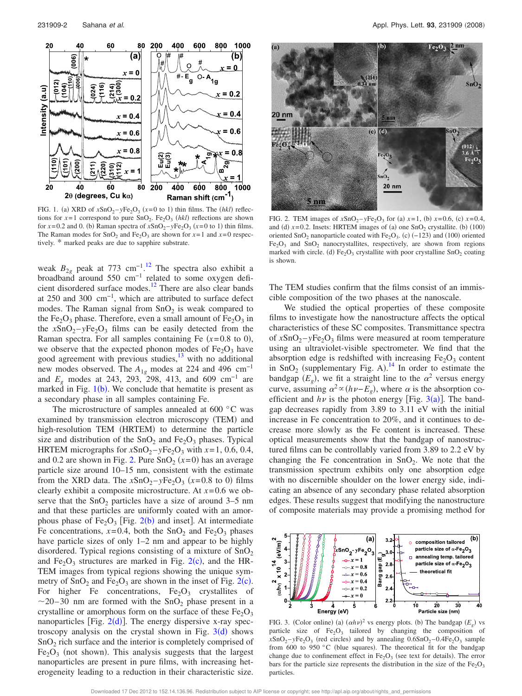

FIG. 1. (a) XRD of  $xSnO_2 - yFe_2O_3$  ( $x=0$  to 1) thin films. The *(hkl)* reflections for  $x=1$  correspond to pure SnO<sub>2</sub>. Fe<sub>2</sub>O<sub>3</sub> (hkl) reflections are shown for  $x=0.2$  and 0. (b) Raman spectra of  $xSnO_2 - yFe_2O_3$  ( $x=0$  to 1) thin films. The Raman modes for  $SnO<sub>2</sub>$  and  $Fe<sub>2</sub>O<sub>3</sub>$  are shown for  $x=1$  and  $x=0$  respectively. \* marked peaks are due to sapphire substrate.

weak  $B_{2g}$  peak at 773 cm<sup>-1,12</sup> The spectra also exhibit a broadband around 550 cm−1 related to some oxygen deficient disordered surface modes.<sup>12</sup> There are also clear bands at 250 and 300 cm−1, which are attributed to surface defect modes. The Raman signal from  $SnO<sub>2</sub>$  is weak compared to the  $Fe<sub>2</sub>O<sub>3</sub>$  phase. Therefore, even a small amount of  $Fe<sub>2</sub>O<sub>3</sub>$  in the  $xSnO<sub>2</sub> - yFe<sub>2</sub>O<sub>3</sub>$  films can be easily detected from the Raman spectra. For all samples containing Fe  $(x=0.8 \text{ to } 0)$ , we observe that the expected phonon modes of  $Fe<sub>2</sub>O<sub>3</sub>$  have good agreement with previous studies,<sup>13</sup> with no additional new modes observed. The *A*<sub>1*g*</sub> modes at 224 and 496 cm<sup>−1</sup> and  $E_g$  modes at 243, 293, 298, 413, and 609 cm<sup>-1</sup> are marked in Fig.  $1(b)$ . We conclude that hematite is present as a secondary phase in all samples containing Fe.

The microstructure of samples annealed at 600 °C was examined by transmission electron microscopy (TEM) and high-resolution TEM (HRTEM) to determine the particle size and distribution of the  $SnO<sub>2</sub>$  and  $Fe<sub>2</sub>O<sub>3</sub>$  phases. Typical HRTEM micrographs for  $xSnO<sub>2</sub> - yFe<sub>2</sub>O<sub>3</sub>$  with  $x=1, 0.6, 0.4$ , and 0.2 are shown in Fig. 2. Pure  $SnO<sub>2</sub>(x=0)$  has an average particle size around 10–15 nm, consistent with the estimate from the XRD data. The  $xSnO<sub>2</sub> - yFe<sub>2</sub>O<sub>3</sub>$  ( $x=0.8$  to 0) films clearly exhibit a composite microstructure. At *x*= 0.6 we observe that the  $SnO<sub>2</sub>$  particles have a size of around 3–5 nm and that these particles are uniformly coated with an amorphous phase of  $Fe<sub>2</sub>O<sub>3</sub>$  [Fig. 2(b) and inset]. At intermediate Fe concentrations,  $x=0.4$ , both the SnO<sub>2</sub> and Fe<sub>2</sub>O<sub>3</sub> phases have particle sizes of only 1–2 nm and appear to be highly disordered. Typical regions consisting of a mixture of  $SnO<sub>2</sub>$ and  $Fe<sub>2</sub>O<sub>3</sub>$  structures are marked in Fig. 2(c), and the HR-TEM images from typical regions showing the unique symmetry of  $SnO<sub>2</sub>$  and  $Fe<sub>2</sub>O<sub>3</sub>$  are shown in the inset of Fig. 2(c). For higher Fe concentrations,  $Fe<sub>2</sub>O<sub>3</sub>$  crystallites of  $\sim$ 20–30 nm are formed with the SnO<sub>2</sub> phase present in a crystalline or amorphous form on the surface of these  $Fe<sub>2</sub>O<sub>3</sub>$ nanoparticles [Fig.  $2(d)$ ]. The energy dispersive x-ray spectroscopy analysis on the crystal shown in Fig.  $3(d)$  shows  $SnO<sub>2</sub>$  rich surface and the interior is completely comprised of  $Fe<sub>2</sub>O<sub>3</sub>$  (not shown). This analysis suggests that the largest nanoparticles are present in pure films, with increasing heterogeneity leading to a reduction in their characteristic size.



FIG. 2. TEM images of  $xSnO_2 - yFe_2O_3$  for (a)  $x=1$ , (b)  $x=0.6$ , (c)  $x=0.4$ , and (d)  $x=0.2$ . Insets: HRTEM images of (a) one  $SnO<sub>2</sub>$  crystallite. (b) (100) oriented SnO<sub>2</sub> nanoparticle coated with  $Fe<sub>2</sub>O<sub>3</sub>$ . (c) (-123) and (100) oriented  $Fe<sub>2</sub>O<sub>3</sub>$  and  $SnO<sub>2</sub>$  nanocrystallites, respectively, are shown from regions marked with circle. (d)  $Fe<sub>2</sub>O<sub>3</sub>$  crystallite with poor crystalline SnO<sub>2</sub> coating is shown.

The TEM studies confirm that the films consist of an immiscible composition of the two phases at the nanoscale.

We studied the optical properties of these composite films to investigate how the nanostructure affects the optical characteristics of these SC composites. Transmittance spectra of  $xSnO<sub>2</sub> - yFe<sub>2</sub>O<sub>3</sub>$  films were measured at room temperature using an ultraviolet-visible spectrometer. We find that the absorption edge is redshifted with increasing  $Fe<sub>2</sub>O<sub>3</sub>$  content in  $\text{SnO}_2$  (supplementary Fig. A).<sup>14</sup> In order to estimate the bandgap  $(E_g)$ , we fit a straight line to the  $\alpha^2$  versus energy curve, assuming  $\alpha^2 \propto (h\nu - E_g)$ , where  $\alpha$  is the absorption coefficient and  $h\nu$  is the photon energy [Fig. 3(a)]. The bandgap decreases rapidly from 3.89 to 3.11 eV with the initial increase in Fe concentration to 20%, and it continues to decrease more slowly as the Fe content is increased. These optical measurements show that the bandgap of nanostructured films can be controllably varied from 3.89 to 2.2 eV by changing the Fe concentration in  $SnO<sub>2</sub>$ . We note that the transmission spectrum exhibits only one absorption edge with no discernible shoulder on the lower energy side, indicating an absence of any secondary phase related absorption edges. These results suggest that modifying the nanostructure of composite materials may provide a promising method for



FIG. 3. (Color online) (a)  $(\alpha h \nu)^2$  vs energy plots. (b) The bandgap  $(E_g)$  vs particle size of  $Fe<sub>2</sub>O<sub>3</sub>$  tailored by changing the composition of  $xSnO<sub>2</sub> - yFe<sub>2</sub>O<sub>3</sub>$  (red circles) and by annealing  $0.6SnO<sub>2</sub> - 0.4Fe<sub>2</sub>O<sub>3</sub>$  sample from 600 to 950 °C (blue squares). The theoretical fit for the bandgap change due to confinement effect in  $Fe<sub>2</sub>O<sub>3</sub>$  (see text for details). The error bars for the particle size represents the distribution in the size of the  $Fe<sub>2</sub>O<sub>3</sub>$ particles.